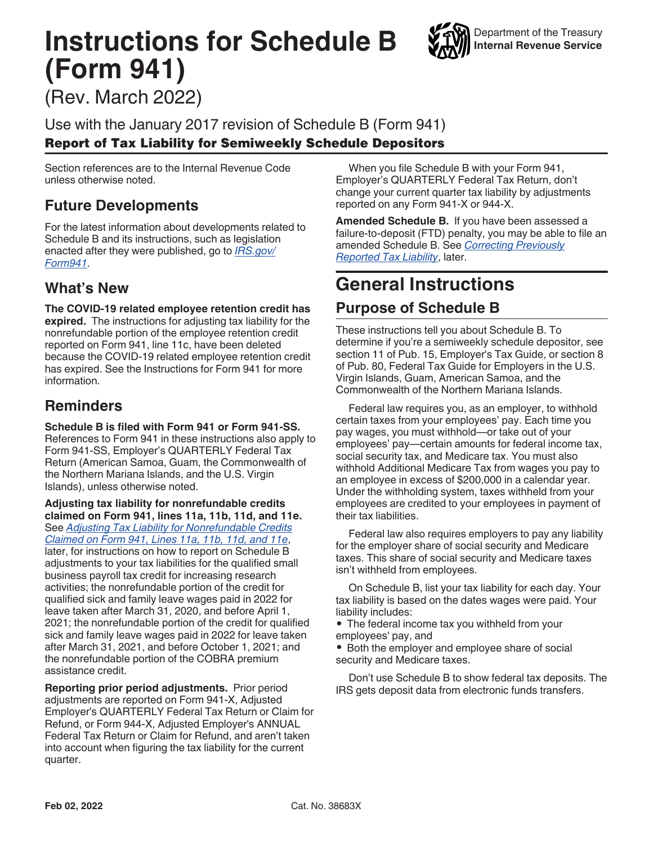# **Instructions for Schedule B (Form 941)**



(Rev. March 2022)

Use with the January 2017 revision of Schedule B (Form 941) Report of Tax Liability for Semiweekly Schedule Depositors

Section references are to the Internal Revenue Code unless otherwise noted.

## **Future Developments**

For the latest information about developments related to Schedule B and its instructions, such as legislation enacted after they were published, go to *[IRS.gov/](https://www.irs.gov/form941) [Form941](https://www.irs.gov/form941)*.

## **What's New**

**The COVID-19 related employee retention credit has expired.** The instructions for adjusting tax liability for the nonrefundable portion of the employee retention credit reported on Form 941, line 11c, have been deleted because the COVID-19 related employee retention credit has expired. See the Instructions for Form 941 for more information.

## **Reminders**

**Schedule B is filed with Form 941 or Form 941-SS.**  References to Form 941 in these instructions also apply to Form 941-SS, Employer's QUARTERLY Federal Tax Return (American Samoa, Guam, the Commonwealth of the Northern Mariana Islands, and the U.S. Virgin Islands), unless otherwise noted.

**Adjusting tax liability for nonrefundable credits claimed on Form 941, lines 11a, 11b, 11d, and 11e.**  See *[Adjusting Tax Liability for Nonrefundable Credits](#page-2-0) [Claimed on Form 941, Lines 11a, 11b, 11d, and 11e](#page-2-0)*, later, for instructions on how to report on Schedule B adjustments to your tax liabilities for the qualified small business payroll tax credit for increasing research activities; the nonrefundable portion of the credit for qualified sick and family leave wages paid in 2022 for leave taken after March 31, 2020, and before April 1, 2021; the nonrefundable portion of the credit for qualified sick and family leave wages paid in 2022 for leave taken after March 31, 2021, and before October 1, 2021; and the nonrefundable portion of the COBRA premium assistance credit.

**Reporting prior period adjustments.** Prior period adjustments are reported on Form 941-X, Adjusted Employer's QUARTERLY Federal Tax Return or Claim for Refund, or Form 944-X, Adjusted Employer's ANNUAL Federal Tax Return or Claim for Refund, and aren't taken into account when figuring the tax liability for the current quarter.

When you file Schedule B with your Form 941, Employer's QUARTERLY Federal Tax Return, don't change your current quarter tax liability by adjustments reported on any Form 941-X or 944-X.

**Amended Schedule B.** If you have been assessed a failure-to-deposit (FTD) penalty, you may be able to file an amended Schedule B. See *[Correcting Previously](#page-3-0)  [Reported Tax Liability](#page-3-0)*, later.

## **General Instructions**

### **Purpose of Schedule B**

These instructions tell you about Schedule B. To determine if you're a semiweekly schedule depositor, see section 11 of Pub. 15, Employer's Tax Guide, or section 8 of Pub. 80, Federal Tax Guide for Employers in the U.S. Virgin Islands, Guam, American Samoa, and the Commonwealth of the Northern Mariana Islands.

Federal law requires you, as an employer, to withhold certain taxes from your employees' pay. Each time you pay wages, you must withhold—or take out of your employees' pay—certain amounts for federal income tax, social security tax, and Medicare tax. You must also withhold Additional Medicare Tax from wages you pay to an employee in excess of \$200,000 in a calendar year. Under the withholding system, taxes withheld from your employees are credited to your employees in payment of their tax liabilities.

Federal law also requires employers to pay any liability for the employer share of social security and Medicare taxes. This share of social security and Medicare taxes isn't withheld from employees.

On Schedule B, list your tax liability for each day. Your tax liability is based on the dates wages were paid. Your liability includes:

• The federal income tax you withheld from your employees' pay, and

• Both the employer and employee share of social security and Medicare taxes.

Don't use Schedule B to show federal tax deposits. The IRS gets deposit data from electronic funds transfers.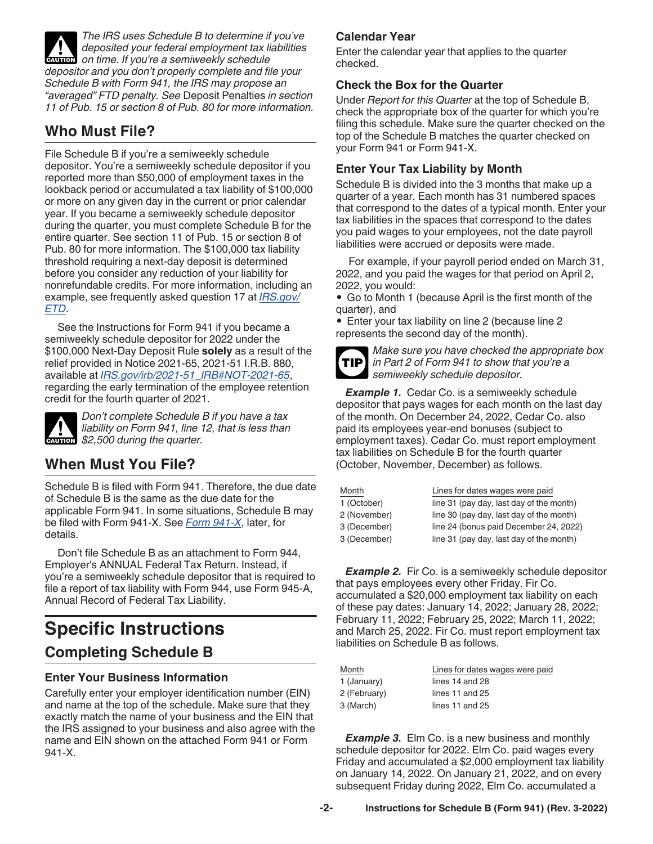*The IRS uses Schedule B to determine if you've deposited your federal employment tax liabilities*  **deposited your federal employment tax lives on time. If you're a semiweekly schedule** *depositor and you don't properly complete and file your Schedule B with Form 941, the IRS may propose an "averaged" FTD penalty. See* Deposit Penalties *in section 11 of Pub. 15 or section 8 of Pub. 80 for more information.*

## **Who Must File?**

File Schedule B if you're a semiweekly schedule depositor. You're a semiweekly schedule depositor if you reported more than \$50,000 of employment taxes in the lookback period or accumulated a tax liability of \$100,000 or more on any given day in the current or prior calendar year. If you became a semiweekly schedule depositor during the quarter, you must complete Schedule B for the entire quarter. See section 11 of Pub. 15 or section 8 of Pub. 80 for more information. The \$100,000 tax liability threshold requiring a next-day deposit is determined before you consider any reduction of your liability for nonrefundable credits. For more information, including an example, see frequently asked question 17 at *[IRS.gov/](https://www.irs.gov/etd) [ETD](https://www.irs.gov/etd)*.

See the Instructions for Form 941 if you became a semiweekly schedule depositor for 2022 under the \$100,000 Next-Day Deposit Rule **solely** as a result of the relief provided in Notice 2021-65, 2021-51 I.R.B. 880, available at *[IRS.gov/irb/2021-51\\_IRB#NOT-2021-65](https://www.irs.gov/irb/2021-51_IRB#NOT-2021-65)*, regarding the early termination of the employee retention credit for the fourth quarter of 2021.



*Don't complete Schedule B if you have a tax liability on Form 941, line 12, that is less than s s 2,500 during the quarter.* 

## **When Must You File?**

Schedule B is filed with Form 941. Therefore, the due date of Schedule B is the same as the due date for the applicable Form 941. In some situations, Schedule B may be filed with Form 941-X. See *[Form 941-X](#page-3-0)*, later, for details.

Don't file Schedule B as an attachment to Form 944, Employer's ANNUAL Federal Tax Return. Instead, if you're a semiweekly schedule depositor that is required to file a report of tax liability with Form 944, use Form 945-A, Annual Record of Federal Tax Liability.

## **Specific Instructions Completing Schedule B**

#### **Enter Your Business Information**

Carefully enter your employer identification number (EIN) and name at the top of the schedule. Make sure that they exactly match the name of your business and the EIN that the IRS assigned to your business and also agree with the name and EIN shown on the attached Form 941 or Form 941-X.

#### **Calendar Year**

Enter the calendar year that applies to the quarter checked.

#### **Check the Box for the Quarter**

Under *Report for this Quarter* at the top of Schedule B, check the appropriate box of the quarter for which you're filing this schedule. Make sure the quarter checked on the top of the Schedule B matches the quarter checked on your Form 941 or Form 941-X.

#### **Enter Your Tax Liability by Month**

Schedule B is divided into the 3 months that make up a quarter of a year. Each month has 31 numbered spaces that correspond to the dates of a typical month. Enter your tax liabilities in the spaces that correspond to the dates you paid wages to your employees, not the date payroll liabilities were accrued or deposits were made.

For example, if your payroll period ended on March 31, 2022, and you paid the wages for that period on April 2, 2022, you would:

• Go to Month 1 (because April is the first month of the quarter), and

• Enter your tax liability on line 2 (because line 2 represents the second day of the month).



*Make sure you have checked the appropriate box in Part 2 of Form 941 to show that you're a semiweekly schedule depositor.*

**Example 1.** Cedar Co. is a semiweekly schedule depositor that pays wages for each month on the last day of the month. On December 24, 2022, Cedar Co. also paid its employees year-end bonuses (subject to employment taxes). Cedar Co. must report employment tax liabilities on Schedule B for the fourth quarter (October, November, December) as follows.

| Month        | Lines for dates wages were paid<br>line 31 (pay day, last day of the month) |  |
|--------------|-----------------------------------------------------------------------------|--|
| 1 (October)  |                                                                             |  |
| 2 (November) | line 30 (pay day, last day of the month)                                    |  |
| 3 (December) | line 24 (bonus paid December 24, 2022)                                      |  |
| 3 (December) | line 31 (pay day, last day of the month)                                    |  |

**Example 2.** Fir Co. is a semiweekly schedule depositor that pays employees every other Friday. Fir Co. accumulated a \$20,000 employment tax liability on each of these pay dates: January 14, 2022; January 28, 2022; February 11, 2022; February 25, 2022; March 11, 2022; and March 25, 2022. Fir Co. must report employment tax liabilities on Schedule B as follows.

| Month        | Lines for dates wages were paid |  |
|--------------|---------------------------------|--|
| 1 (January)  | lines 14 and 28                 |  |
| 2 (February) | lines 11 and $25$               |  |
| 3 (March)    | lines $11$ and $25$             |  |

**Example 3.** Elm Co. is a new business and monthly schedule depositor for 2022. Elm Co. paid wages every Friday and accumulated a \$2,000 employment tax liability on January 14, 2022. On January 21, 2022, and on every subsequent Friday during 2022, Elm Co. accumulated a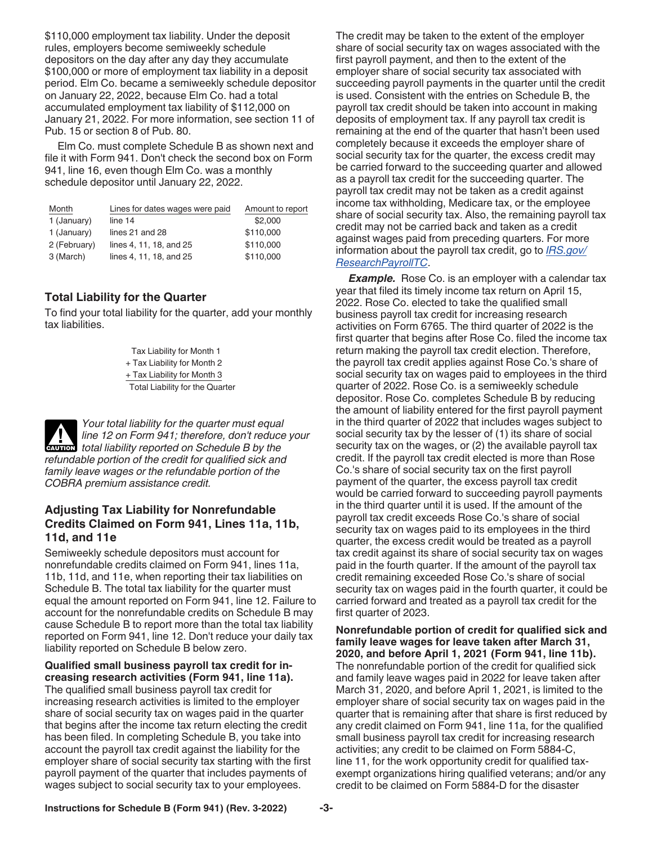<span id="page-2-0"></span>\$110,000 employment tax liability. Under the deposit rules, employers become semiweekly schedule depositors on the day after any day they accumulate \$100,000 or more of employment tax liability in a deposit period. Elm Co. became a semiweekly schedule depositor on January 22, 2022, because Elm Co. had a total accumulated employment tax liability of \$112,000 on January 21, 2022. For more information, see section 11 of Pub. 15 or section 8 of Pub. 80.

Elm Co. must complete Schedule B as shown next and file it with Form 941. Don't check the second box on Form 941, line 16, even though Elm Co. was a monthly schedule depositor until January 22, 2022.

| Month        | Lines for dates wages were paid | Amount to report |
|--------------|---------------------------------|------------------|
| 1 (January)  | line 14                         | \$2,000          |
| 1 (January)  | lines 21 and 28                 | \$110,000        |
| 2 (February) | lines 4, 11, 18, and 25         | \$110,000        |
| 3 (March)    | lines 4, 11, 18, and 25         | \$110,000        |

#### **Total Liability for the Quarter**

To find your total liability for the quarter, add your monthly tax liabilities.

> Tax Liability for Month 1 + Tax Liability for Month 2 + Tax Liability for Month 3 Total Liability for the Quarter

*Your total liability for the quarter must equal line 12 on Form 941; therefore, don't reduce your total liability reported on Schedule B by the*<br> **CAUTION** total liability reported on Schedule B by the *refundable portion of the credit for qualified sick and family leave wages or the refundable portion of the COBRA premium assistance credit.*

#### **Adjusting Tax Liability for Nonrefundable Credits Claimed on Form 941, Lines 11a, 11b, 11d, and 11e**

Semiweekly schedule depositors must account for nonrefundable credits claimed on Form 941, lines 11a, 11b, 11d, and 11e, when reporting their tax liabilities on Schedule B. The total tax liability for the quarter must equal the amount reported on Form 941, line 12. Failure to account for the nonrefundable credits on Schedule B may cause Schedule B to report more than the total tax liability reported on Form 941, line 12. Don't reduce your daily tax liability reported on Schedule B below zero.

#### **Qualified small business payroll tax credit for increasing research activities (Form 941, line 11a).**

The qualified small business payroll tax credit for increasing research activities is limited to the employer share of social security tax on wages paid in the quarter that begins after the income tax return electing the credit has been filed. In completing Schedule B, you take into account the payroll tax credit against the liability for the employer share of social security tax starting with the first payroll payment of the quarter that includes payments of wages subject to social security tax to your employees.

The credit may be taken to the extent of the employer share of social security tax on wages associated with the first payroll payment, and then to the extent of the employer share of social security tax associated with succeeding payroll payments in the quarter until the credit is used. Consistent with the entries on Schedule B, the payroll tax credit should be taken into account in making deposits of employment tax. If any payroll tax credit is remaining at the end of the quarter that hasn't been used completely because it exceeds the employer share of social security tax for the quarter, the excess credit may be carried forward to the succeeding quarter and allowed as a payroll tax credit for the succeeding quarter. The payroll tax credit may not be taken as a credit against income tax withholding, Medicare tax, or the employee share of social security tax. Also, the remaining payroll tax credit may not be carried back and taken as a credit against wages paid from preceding quarters. For more information about the payroll tax credit, go to *[IRS.gov/](https://www.irs.gov/researchpayrolltc) [ResearchPayrollTC](https://www.irs.gov/researchpayrolltc)*.

*Example.* Rose Co. is an employer with a calendar tax year that filed its timely income tax return on April 15, 2022. Rose Co. elected to take the qualified small business payroll tax credit for increasing research activities on Form 6765. The third quarter of 2022 is the first quarter that begins after Rose Co. filed the income tax return making the payroll tax credit election. Therefore, the payroll tax credit applies against Rose Co.'s share of social security tax on wages paid to employees in the third quarter of 2022. Rose Co. is a semiweekly schedule depositor. Rose Co. completes Schedule B by reducing the amount of liability entered for the first payroll payment in the third quarter of 2022 that includes wages subject to social security tax by the lesser of (1) its share of social security tax on the wages, or (2) the available payroll tax credit. If the payroll tax credit elected is more than Rose Co.'s share of social security tax on the first payroll payment of the quarter, the excess payroll tax credit would be carried forward to succeeding payroll payments in the third quarter until it is used. If the amount of the payroll tax credit exceeds Rose Co.'s share of social security tax on wages paid to its employees in the third quarter, the excess credit would be treated as a payroll tax credit against its share of social security tax on wages paid in the fourth quarter. If the amount of the payroll tax credit remaining exceeded Rose Co.'s share of social security tax on wages paid in the fourth quarter, it could be carried forward and treated as a payroll tax credit for the first quarter of 2023.

**Nonrefundable portion of credit for qualified sick and family leave wages for leave taken after March 31, 2020, and before April 1, 2021 (Form 941, line 11b).**  The nonrefundable portion of the credit for qualified sick and family leave wages paid in 2022 for leave taken after March 31, 2020, and before April 1, 2021, is limited to the employer share of social security tax on wages paid in the quarter that is remaining after that share is first reduced by any credit claimed on Form 941, line 11a, for the qualified small business payroll tax credit for increasing research activities; any credit to be claimed on Form 5884-C, line 11, for the work opportunity credit for qualified taxexempt organizations hiring qualified veterans; and/or any credit to be claimed on Form 5884-D for the disaster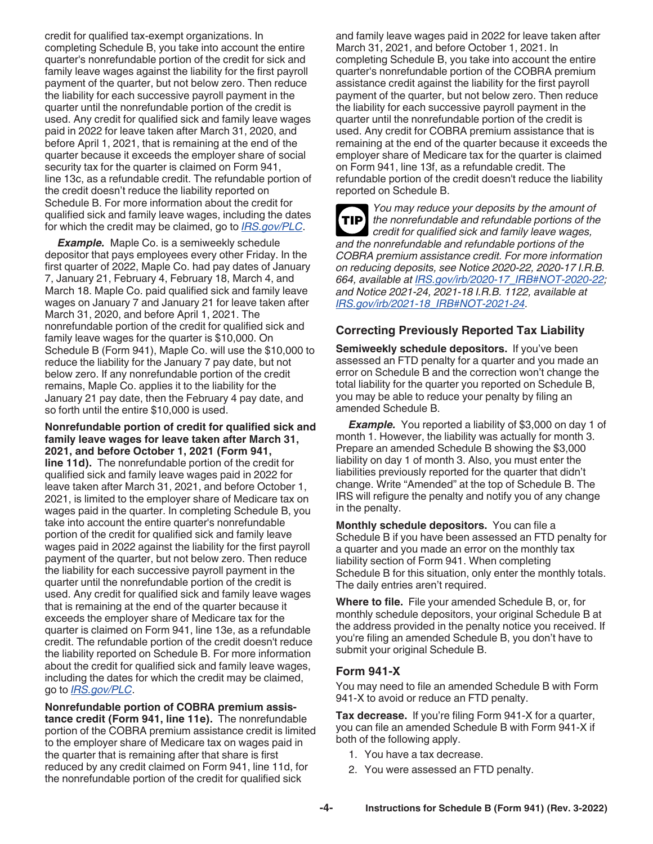<span id="page-3-0"></span>credit for qualified tax-exempt organizations. In completing Schedule B, you take into account the entire quarter's nonrefundable portion of the credit for sick and family leave wages against the liability for the first payroll payment of the quarter, but not below zero. Then reduce the liability for each successive payroll payment in the quarter until the nonrefundable portion of the credit is used. Any credit for qualified sick and family leave wages paid in 2022 for leave taken after March 31, 2020, and before April 1, 2021, that is remaining at the end of the quarter because it exceeds the employer share of social security tax for the quarter is claimed on Form 941, line 13c, as a refundable credit. The refundable portion of the credit doesn't reduce the liability reported on Schedule B. For more information about the credit for qualified sick and family leave wages, including the dates for which the credit may be claimed, go to *[IRS.gov/PLC](https://www.irs.gov/plc)*.

*Example.* Maple Co. is a semiweekly schedule depositor that pays employees every other Friday. In the first quarter of 2022, Maple Co. had pay dates of January 7, January 21, February 4, February 18, March 4, and March 18. Maple Co. paid qualified sick and family leave wages on January 7 and January 21 for leave taken after March 31, 2020, and before April 1, 2021. The nonrefundable portion of the credit for qualified sick and family leave wages for the quarter is \$10,000. On Schedule B (Form 941), Maple Co. will use the \$10,000 to reduce the liability for the January 7 pay date, but not below zero. If any nonrefundable portion of the credit remains, Maple Co. applies it to the liability for the January 21 pay date, then the February 4 pay date, and so forth until the entire \$10,000 is used.

#### **Nonrefundable portion of credit for qualified sick and family leave wages for leave taken after March 31, 2021, and before October 1, 2021 (Form 941,**

**line 11d).** The nonrefundable portion of the credit for qualified sick and family leave wages paid in 2022 for leave taken after March 31, 2021, and before October 1, 2021, is limited to the employer share of Medicare tax on wages paid in the quarter. In completing Schedule B, you take into account the entire quarter's nonrefundable portion of the credit for qualified sick and family leave wages paid in 2022 against the liability for the first payroll payment of the quarter, but not below zero. Then reduce the liability for each successive payroll payment in the quarter until the nonrefundable portion of the credit is used. Any credit for qualified sick and family leave wages that is remaining at the end of the quarter because it exceeds the employer share of Medicare tax for the quarter is claimed on Form 941, line 13e, as a refundable credit. The refundable portion of the credit doesn't reduce the liability reported on Schedule B. For more information about the credit for qualified sick and family leave wages, including the dates for which the credit may be claimed, go to *[IRS.gov/PLC](https://www.irs.gov/plc)*.

**Nonrefundable portion of COBRA premium assistance credit (Form 941, line 11e).** The nonrefundable portion of the COBRA premium assistance credit is limited to the employer share of Medicare tax on wages paid in the quarter that is remaining after that share is first reduced by any credit claimed on Form 941, line 11d, for the nonrefundable portion of the credit for qualified sick

and family leave wages paid in 2022 for leave taken after March 31, 2021, and before October 1, 2021. In completing Schedule B, you take into account the entire quarter's nonrefundable portion of the COBRA premium assistance credit against the liability for the first payroll payment of the quarter, but not below zero. Then reduce the liability for each successive payroll payment in the quarter until the nonrefundable portion of the credit is used. Any credit for COBRA premium assistance that is remaining at the end of the quarter because it exceeds the employer share of Medicare tax for the quarter is claimed on Form 941, line 13f, as a refundable credit. The refundable portion of the credit doesn't reduce the liability reported on Schedule B.

*You may reduce your deposits by the amount of the nonrefundable and refundable portions of the credit for qualified sick and family leave wages, and the nonrefundable and refundable portions of the COBRA premium assistance credit. For more information on reducing deposits, see Notice 2020-22, 2020-17 I.R.B. 664, available at [IRS.gov/irb/2020-17\\_IRB#NOT-2020-22;](https://www.irs.gov/irb/2020-17_IRB#NOT-2020-22) and Notice 2021-24, 2021-18 I.R.B. 1122, available at [IRS.gov/irb/2021-18\\_IRB#NOT-2021-24](https://www.irs.gov/irb/2021-18_irb#not-2021-24).* **TIP**

#### **Correcting Previously Reported Tax Liability**

**Semiweekly schedule depositors.** If you've been assessed an FTD penalty for a quarter and you made an error on Schedule B and the correction won't change the total liability for the quarter you reported on Schedule B, you may be able to reduce your penalty by filing an amended Schedule B.

*Example.* You reported a liability of \$3,000 on day 1 of month 1. However, the liability was actually for month 3. Prepare an amended Schedule B showing the \$3,000 liability on day 1 of month 3. Also, you must enter the liabilities previously reported for the quarter that didn't change. Write "Amended" at the top of Schedule B. The IRS will refigure the penalty and notify you of any change in the penalty.

**Monthly schedule depositors.** You can file a Schedule B if you have been assessed an FTD penalty for a quarter and you made an error on the monthly tax liability section of Form 941. When completing Schedule B for this situation, only enter the monthly totals. The daily entries aren't required.

**Where to file.** File your amended Schedule B, or, for monthly schedule depositors, your original Schedule B at the address provided in the penalty notice you received. If you're filing an amended Schedule B, you don't have to submit your original Schedule B.

#### **Form 941-X**

You may need to file an amended Schedule B with Form 941-X to avoid or reduce an FTD penalty.

**Tax decrease.** If you're filing Form 941-X for a quarter, you can file an amended Schedule B with Form 941-X if both of the following apply.

- 1. You have a tax decrease.
- 2. You were assessed an FTD penalty.